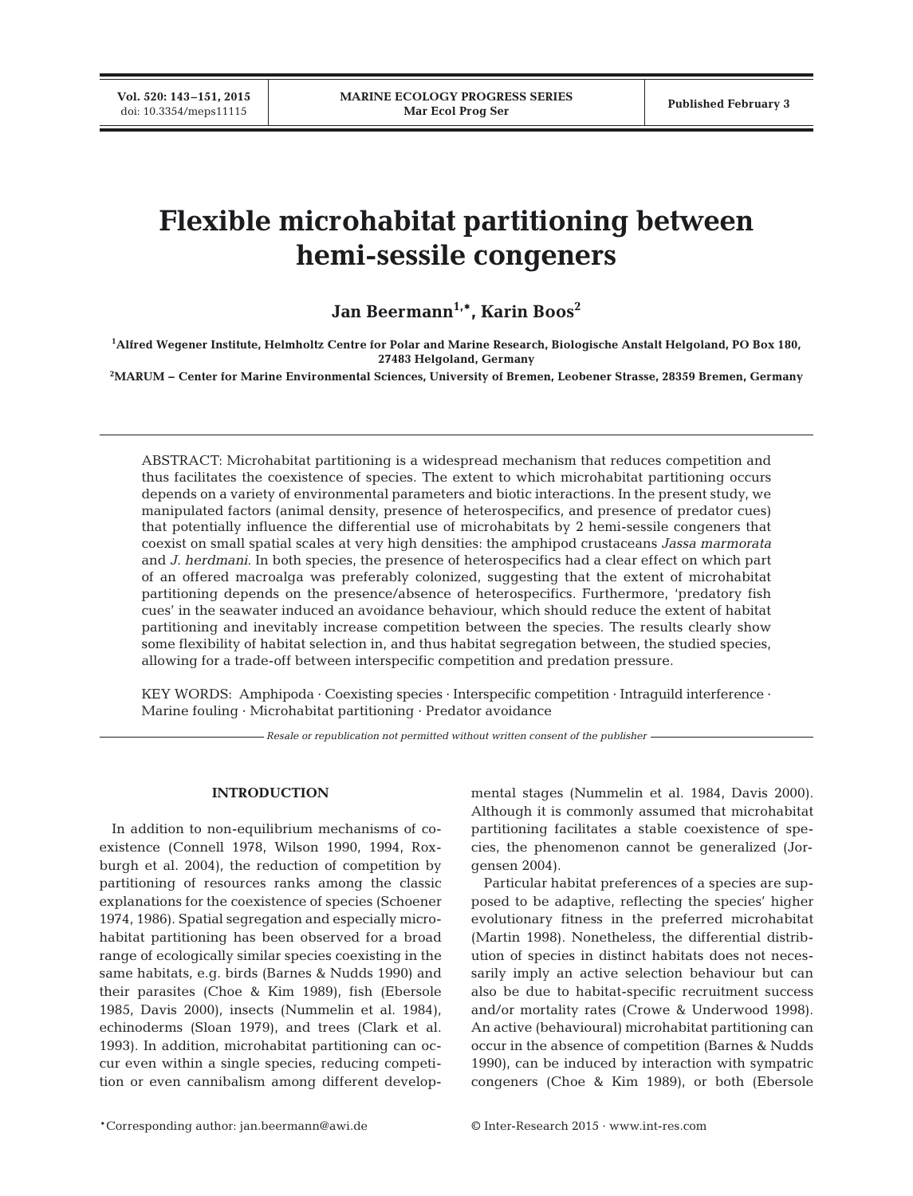**Vol. 520: 143–151, 2015**

# **Flexible microhabitat partitioning between hemi-sessile congeners**

Jan Beermann<sup>1,\*</sup>, Karin Boos<sup>2</sup>

**1 Alfred Wegener Institute, Helmholtz Centre for Polar and Marine Research, Biologische Anstalt Helgoland, PO Box 180, 27483 Helgoland, Germany**

**2 MARUM − Center for Marine Environmental Sciences, University of Bremen, Leobener Strasse, 28359 Bremen, Germany**

ABSTRACT: Microhabitat partitioning is a widespread mechanism that reduces competition and thus facilitates the coexistence of species. The extent to which microhabitat partitioning occurs depends on a variety of environmental parameters and biotic interactions. In the present study, we manipulated factors (animal density, presence of heterospecifics, and presence of predator cues) that potentially influence the differential use of microhabitats by 2 hemi-sessile congeners that coexist on small spatial scales at very high densities: the amphipod crustaceans *Jassa marmorata* and *J. herdmani*. In both species, the presence of heterospecifics had a clear effect on which part of an offered macroalga was preferably colonized, suggesting that the extent of microhabitat partitioning depends on the presence/absence of heterospecifics. Furthermore, 'predatory fish cues' in the seawater induced an avoidance behaviour, which should reduce the extent of habitat partitioning and inevitably increase competition between the species. The results clearly show some flexibility of habitat selection in, and thus habitat segregation between, the studied species, allowing for a trade-off between interspecific competition and predation pressure.

KEY WORDS: Amphipoda  $\cdot$  Coexisting species  $\cdot$  Interspecific competition  $\cdot$  Intraguild interference  $\cdot$ Marine fouling · Microhabitat partitioning · Predator avoidance

*Resale or republication not permitted without written consent of the publisher*

## **INTRODUCTION**

In addition to non-equilibrium mechanisms of coexistence (Connell 1978, Wilson 1990, 1994, Roxburgh et al. 2004), the reduction of competition by partitioning of resources ranks among the classic explanations for the coexistence of species (Schoener 1974, 1986). Spatial segregation and especially microhabitat partitioning has been observed for a broad range of ecologically similar species coexisting in the same habitats, e.g. birds (Barnes & Nudds 1990) and their parasites (Choe & Kim 1989), fish (Ebersole 1985, Davis 2000), insects (Nummelin et al. 1984), echinoderms (Sloan 1979), and trees (Clark et al. 1993). In addition, microhabitat partitioning can oc cur even within a single species, reducing competition or even cannibalism among different developmental stages (Nummelin et al. 1984, Davis 2000). Although it is commonly assumed that microhabitat partitioning facilitates a stable coexistence of species, the phenomenon cannot be generalized (Jorgensen 2004).

Particular habitat preferences of a species are supposed to be adaptive, reflecting the species' higher evolutionary fitness in the preferred microhabitat (Martin 1998). Nonetheless, the differential distribution of species in distinct habitats does not neces sarily imply an active selection behaviour but can also be due to habitat-specific recruitment success and/or mortality rates (Crowe & Underwood 1998). An active (behavioural) microhabitat partitioning can occur in the absence of competition (Barnes & Nudds 1990), can be induced by interaction with sympatric congeners (Choe & Kim 1989), or both (Ebersole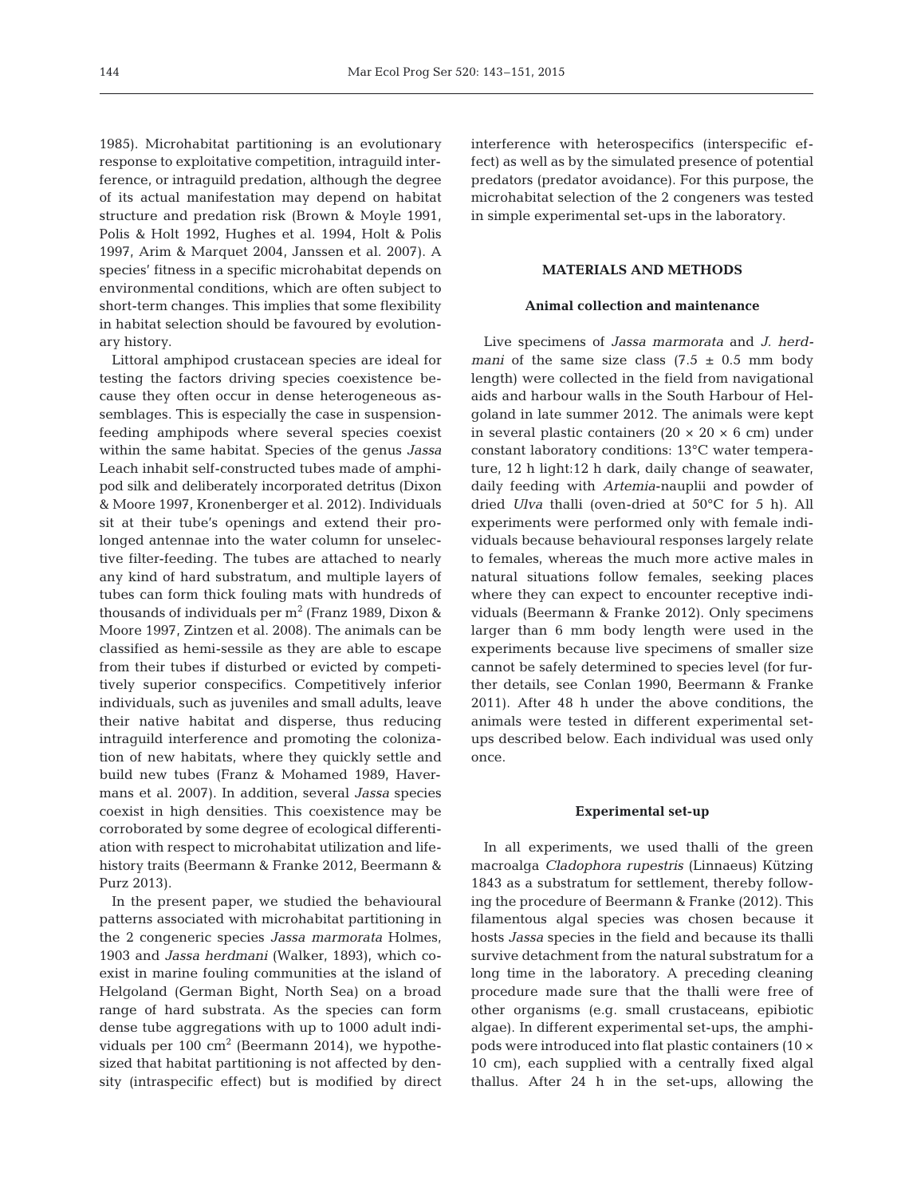1985). Microhabitat partitioning is an evolutionary response to exploitative competition, intraguild interference, or intraguild predation, although the degree of its actual manifestation may depend on habitat structure and predation risk (Brown & Moyle 1991, Polis & Holt 1992, Hughes et al. 1994, Holt & Polis 1997, Arim & Marquet 2004, Janssen et al. 2007). A species' fitness in a specific microhabitat depends on environmental conditions, which are often subject to short-term changes. This implies that some flexibility in habitat selection should be favoured by evolutionary history.

Littoral amphipod crustacean species are ideal for testing the factors driving species coexistence be cause they often occur in dense heterogeneous assemblages. This is especially the case in suspensionfeeding amphipods where several species coexist within the same habitat. Species of the genus *Jassa* Leach inhabit self-constructed tubes made of amphipod silk and deliberately incorporated detritus (Dixon & Moore 1997, Kronenberger et al. 2012). Individuals sit at their tube's openings and extend their prolonged antennae into the water column for unselective filter-feeding. The tubes are attached to nearly any kind of hard substratum, and multiple layers of tubes can form thick fouling mats with hundreds of thousands of individuals per  $m^2$  (Franz 1989, Dixon & Moore 1997, Zintzen et al. 2008). The animals can be classified as hemi-sessile as they are able to escape from their tubes if disturbed or evicted by competitively superior conspecifics. Competitively inferior individuals, such as juveniles and small adults, leave their native habitat and disperse, thus reducing intraguild interference and promoting the colonization of new habitats, where they quickly settle and build new tubes (Franz & Mohamed 1989, Havermans et al. 2007). In addition, several *Jassa* species coexist in high densities. This coexistence may be corroborated by some degree of ecological differentiation with respect to microhabitat utilization and lifehistory traits (Beermann & Franke 2012, Beermann & Purz 2013).

In the present paper, we studied the behavioural patterns associated with microhabitat partitioning in the 2 congeneric species *Jassa marmorata* Holmes, 1903 and *Jassa herdmani* (Walker, 1893), which coexist in marine fouling communities at the island of Helgoland (German Bight, North Sea) on a broad range of hard substrata. As the species can form dense tube aggregations with up to 1000 adult individuals per 100 cm<sup>2</sup> (Beermann 2014), we hypothesized that habitat partitioning is not affected by density (intraspecific effect) but is modified by direct interference with heterospecifics (interspecific ef fect) as well as by the simulated presence of potential predators (predator avoidance). For this purpose, the microhabitat selection of the 2 congeners was tested in simple experimental set-ups in the laboratory.

## **MATERIALS AND METHODS**

## **Animal collection and maintenance**

Live specimens of *Jassa marmorata* and *J. herdmani* of the same size class  $(7.5 \pm 0.5 \text{ mm}$  body length) were collected in the field from navigational aids and harbour walls in the South Harbour of Helgoland in late summer 2012. The animals were kept in several plastic containers  $(20 \times 20 \times 6$  cm) under constant laboratory conditions: 13°C water temperature, 12 h light:12 h dark, daily change of seawater, daily feeding with *Artemia*-nauplii and powder of dried *Ulva* thalli (oven-dried at 50°C for 5 h). All experiments were performed only with female individuals because behavioural responses largely relate to females, whereas the much more active males in natural situations follow females, seeking places where they can expect to encounter receptive individuals (Beermann & Franke 2012). Only specimens larger than 6 mm body length were used in the experiments because live specimens of smaller size cannot be safely determined to species level (for further details, see Conlan 1990, Beermann & Franke 2011). After 48 h under the above conditions, the animals were tested in different experimental setups described below. Each individual was used only once.

#### **Experimental set-up**

In all experiments, we used thalli of the green macroalga *Cladophora rupestris* (Linnaeus) Kützing 1843 as a substratum for settlement, thereby following the procedure of Beermann & Franke (2012). This filamentous algal species was chosen because it hosts *Jassa* species in the field and because its thalli survive detachment from the natural substratum for a long time in the laboratory. A preceding cleaning procedure made sure that the thalli were free of other organisms (e.g. small crustaceans, epibiotic algae). In different experimental set-ups, the amphipods were introduced into flat plastic containers (10 × 10 cm), each supplied with a centrally fixed algal thallus. After 24 h in the set-ups, allowing the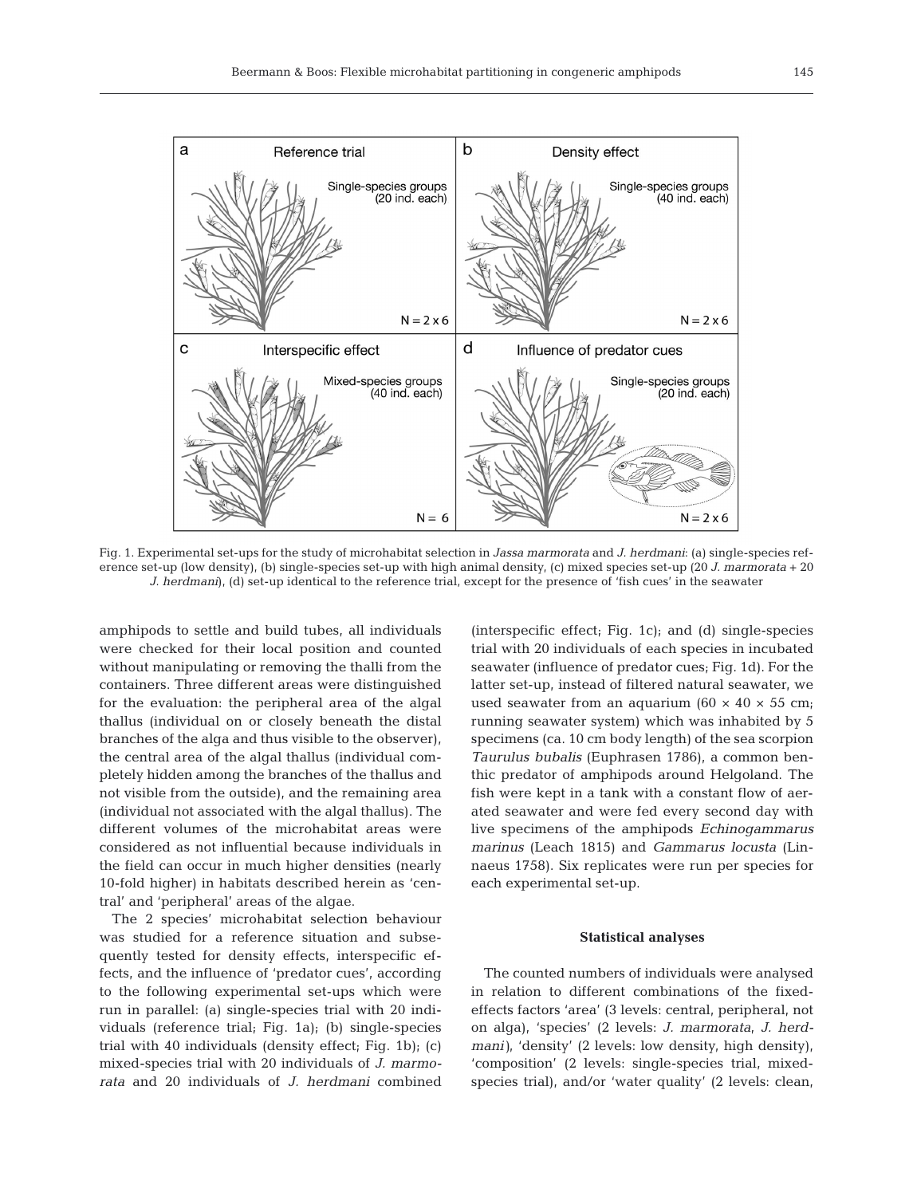

Fig. 1. Experimental set-ups for the study of microhabitat selection in *Jassa marmorata* and *J. herdmani*: (a) single-species reference set-up (low density), (b) single-species set-up with high animal density, (c) mixed species set-up (20 *J. marmorata* + 20 *J. herdmani*), (d) set-up identical to the reference trial, except for the presence of 'fish cues' in the seawater

amphipods to settle and build tubes, all individuals were checked for their local position and counted without manipulating or removing the thalli from the containers. Three different areas were distinguished for the evaluation: the peripheral area of the algal thallus (individual on or closely beneath the distal branches of the alga and thus visible to the observer), the central area of the algal thallus (individual completely hidden among the branches of the thallus and not visible from the outside), and the remaining area (individual not associated with the algal thallus). The different volumes of the microhabitat areas were considered as not influential because individuals in the field can occur in much higher densities (nearly 10-fold higher) in habitats described herein as 'central' and 'peripheral' areas of the algae.

The 2 species' microhabitat selection behaviour was studied for a reference situation and subsequently tested for density effects, interspecific ef fects, and the influence of 'predator cues', according to the following experimental set-ups which were run in parallel: (a) single-species trial with 20 individuals (reference trial; Fig. 1a); (b) single-species trial with 40 individuals (density effect; Fig. 1b); (c) mixed- species trial with 20 individuals of *J. marmo rata* and 20 individuals of *J. herdmani* combined (interspecific effect; Fig. 1c); and (d) single-species trial with 20 individuals of each species in incubated seawater (influence of predator cues; Fig. 1d). For the latter set-up, instead of filtered natural seawater, we used seawater from an aquarium (60  $\times$  40  $\times$  55 cm; running seawater system) which was inhabited by 5 specimens (ca. 10 cm body length) of the sea scorpion *Taurulus bubalis* (Euphrasen 1786), a common benthic predator of amphipods around Helgoland. The fish were kept in a tank with a constant flow of aerated seawater and were fed every second day with live specimens of the amphipods *Echinogammarus marinus* (Leach 1815) and *Gammarus locusta* (Linnaeus 1758). Six replicates were run per species for each experimental set-up.

## **Statistical analyses**

The counted numbers of individuals were analysed in relation to different combinations of the fixedeffects factors 'area' (3 levels: central, peripheral, not on alga), 'species' (2 levels: *J. marmorata*, *J. herdmani)*, 'density' (2 levels: low density, high density), 'composition' (2 levels: single-species trial, mixedspecies trial), and/or 'water quality' (2 levels: clean,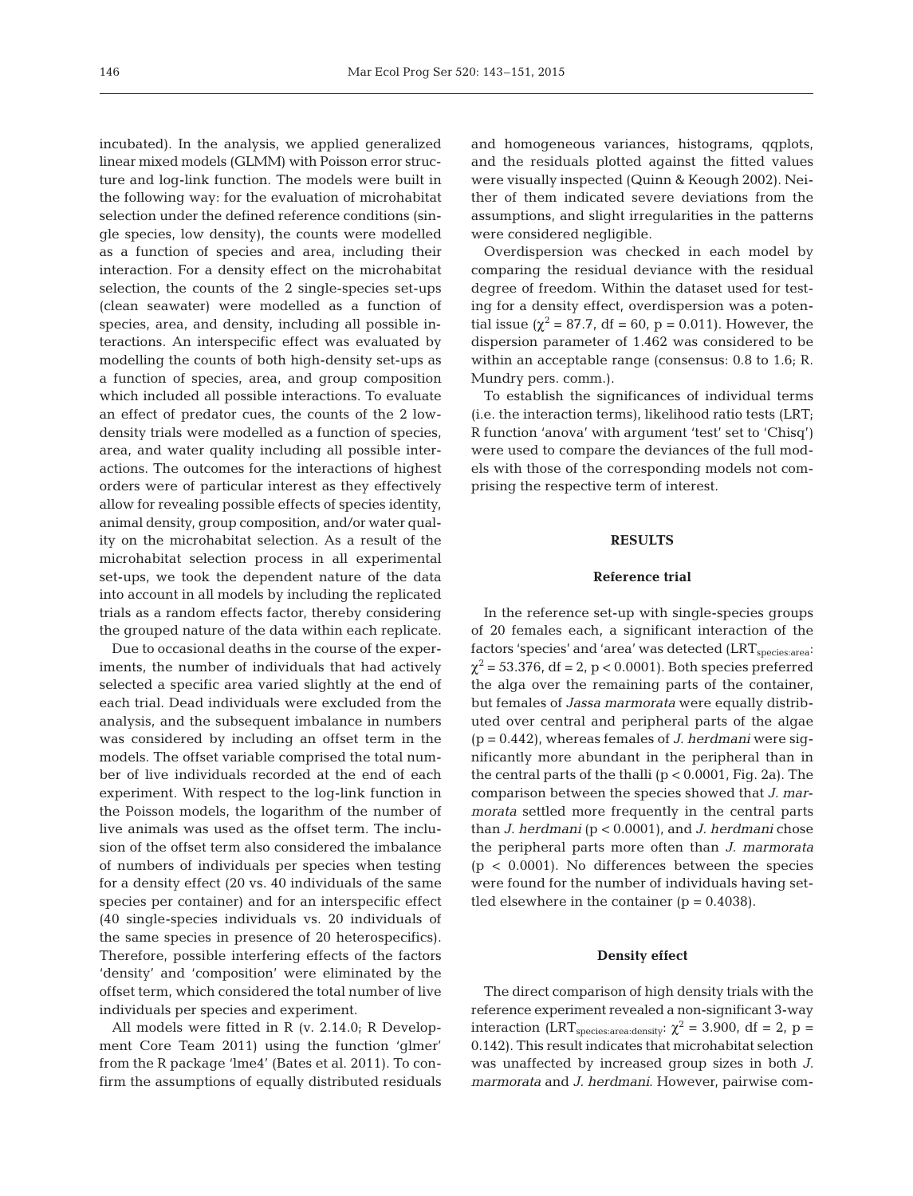incubated). In the analysis, we applied generalized linear mixed models (GLMM) with Poisson error structure and log-link function. The models were built in the following way: for the evaluation of microhabitat selection under the defined reference conditions (single species, low density), the counts were modelled as a function of species and area, including their interaction. For a density effect on the microhabitat selection, the counts of the 2 single-species set-ups (clean seawater) were modelled as a function of species, area, and density, including all possible interactions. An interspecific effect was evaluated by modelling the counts of both high-density set-ups as a function of species, area, and group composition which included all possible interactions. To evaluate an effect of predator cues, the counts of the 2 lowdensity trials were modelled as a function of species, area, and water quality including all possible inter actions. The outcomes for the interactions of highest orders were of particular interest as they effectively allow for revealing possible effects of species identity, animal density, group composition, and/or water quality on the microhabitat selection. As a result of the microhabitat selection process in all experimental set-ups, we took the dependent nature of the data into account in all models by including the replicated trials as a random effects factor, thereby considering the grouped nature of the data within each replicate.

Due to occasional deaths in the course of the experiments, the number of individuals that had actively selected a specific area varied slightly at the end of each trial. Dead individuals were excluded from the analysis, and the subsequent imbalance in numbers was considered by including an offset term in the models. The offset variable comprised the total number of live individuals recorded at the end of each experiment. With respect to the log-link function in the Poisson models, the logarithm of the number of live animals was used as the offset term. The inclusion of the offset term also considered the imbalance of numbers of individuals per species when testing for a density effect (20 vs. 40 individuals of the same species per container) and for an interspecific effect (40 single-species individuals vs. 20 individuals of the same species in presence of 20 heterospecifics). Therefore, possible interfering effects of the factors 'density' and 'composition' were eliminated by the offset term, which considered the total number of live individuals per species and experiment.

All models were fitted in R (v. 2.14.0; R Development Core Team 2011) using the function 'glmer' from the R package 'lme4' (Bates et al. 2011). To confirm the assumptions of equally distributed residuals and homogeneous variances, histograms, qqplots, and the residuals plotted against the fitted values were visually inspected (Quinn & Keough 2002). Neither of them indicated severe deviations from the assumptions, and slight irregularities in the patterns were considered negligible.

Overdispersion was checked in each model by comparing the residual deviance with the residual degree of freedom. Within the dataset used for testing for a density effect, overdispersion was a potential issue ( $\chi^2 = 87.7$ , df = 60, p = 0.011). However, the dispersion parameter of 1.462 was considered to be within an acceptable range (consensus: 0.8 to 1.6; R. Mundry pers. comm.).

To establish the significances of individual terms (i.e. the interaction terms), likelihood ratio tests (LRT; R function 'anova' with argument 'test' set to 'Chisq') were used to compare the deviances of the full models with those of the corresponding models not comprising the respective term of interest.

## **RESULTS**

#### **Reference trial**

In the reference set-up with single-species groups of 20 females each, a significant interaction of the factors 'species' and 'area' was detected (LRT<sub>species:area</sub>:  $\chi^2$  = 53.376, df = 2, p < 0.0001). Both species preferred the alga over the remaining parts of the container, but females of *Jassa marmorata* were equally distributed over central and peripheral parts of the algae (p = 0.442), whereas females of *J. herdmani* were significantly more abundant in the peripheral than in the central parts of the thalli  $(p < 0.0001,$  Fig. 2a). The comparison between the species showed that *J. marmorata* settled more frequently in the central parts than *J. herdmani* (p < 0.0001), and *J. herdmani* chose the peripheral parts more often than *J. marmorata*  $(p < 0.0001)$ . No differences between the species were found for the number of individuals having settled elsewhere in the container  $(p = 0.4038)$ .

#### **Density effect**

The direct comparison of high density trials with the reference experiment revealed a non-significant 3-way interaction (LRT<sub>species:area:density</sub>:  $\chi^2$  = 3.900, df = 2, p = 0.142). This result indicates that microhabitat selection was unaffected by increased group sizes in both *J. marmorata* and *J. herdmani*. However, pairwise com-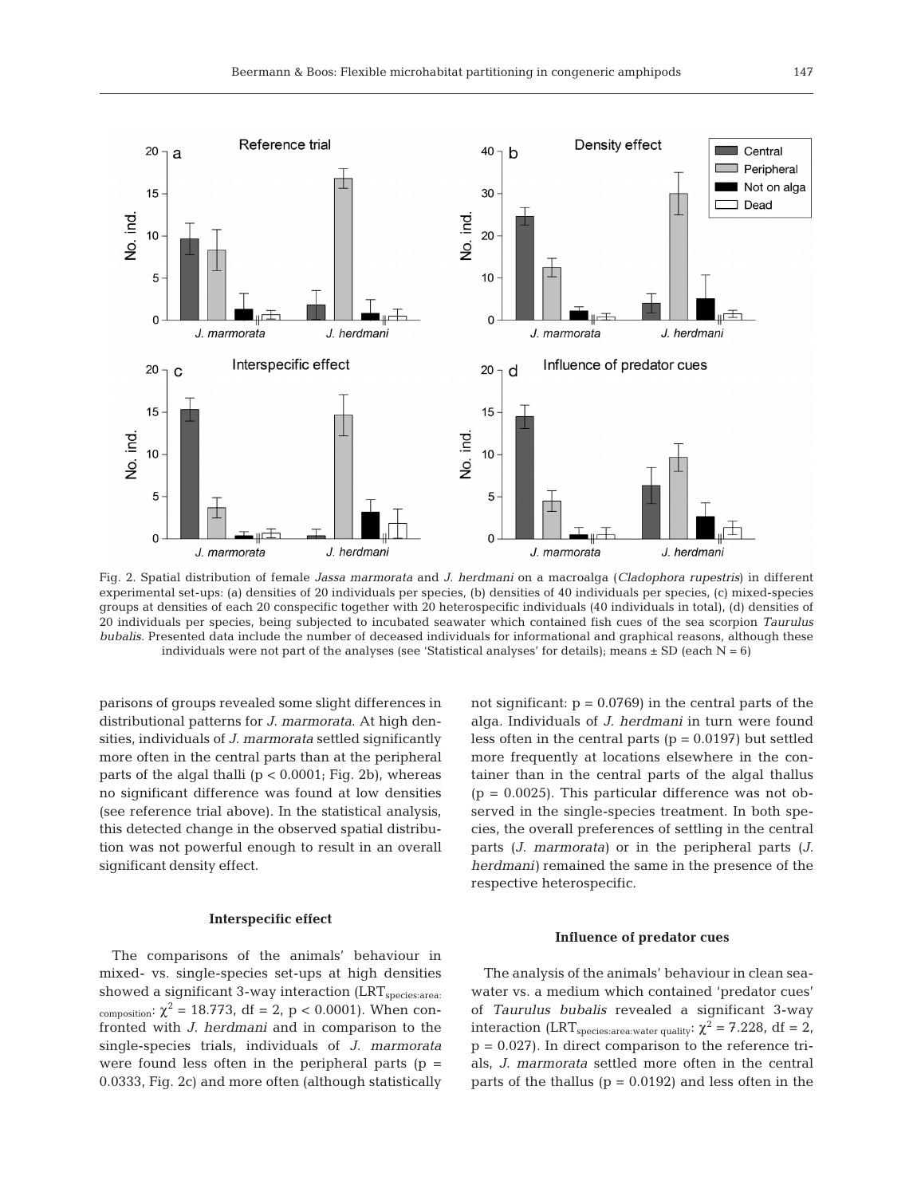

Fig. 2. Spatial distribution of female *Jassa marmorata* and *J. herdmani* on a macroalga (*Cladophora rupestris*) in different experimental set-ups: (a) densities of 20 individuals per species, (b) densities of 40 individuals per species, (c) mixed-species groups at densities of each 20 conspecific together with 20 heterospecific individuals (40 individuals in total), (d) densities of 20 individuals per species, being subjected to incubated seawater which contained fish cues of the sea scorpion *Taurulus bubalis*. Presented data include the number of deceased individuals for informational and graphical reasons, although these individuals were not part of the analyses (see 'Statistical analyses' for details); means  $\pm$  SD (each N = 6)

parisons of groups revealed some slight differences in distributional patterns for *J. marmorata*. At high densities, individuals of *J. marmorata* settled significantly more often in the central parts than at the peripheral parts of the algal thalli  $(p < 0.0001;$  Fig. 2b), whereas no significant difference was found at low densities (see reference trial above). In the statistical analysis, this detected change in the observed spatial distribution was not powerful enough to result in an overall significant density effect.

#### **Interspecific effect**

The comparisons of the animals' behaviour in mixed- vs. single-species set-ups at high densities showed a significant 3-way interaction  $(LRT_{\text{species:area}})$ composition:  $\chi^2 = 18.773$ , df = 2, p < 0.0001). When confronted with *J. herdmani* and in comparison to the single-species trials, individuals of *J. marmorata* were found less often in the peripheral parts ( $p =$ 0.0333, Fig. 2c) and more often (although statistically not significant:  $p = 0.0769$  in the central parts of the alga. Individuals of *J. herdmani* in turn were found less often in the central parts ( $p = 0.0197$ ) but settled more frequently at locations elsewhere in the container than in the central parts of the algal thallus  $(p = 0.0025)$ . This particular difference was not observed in the single-species treatment. In both species, the overall preferences of settling in the central parts (*J. marmorata)* or in the peripheral parts (*J. herdmani)* remained the same in the presence of the respective heterospecific.

## **Influence of predator cues**

The analysis of the animals' behaviour in clean seawater vs. a medium which contained 'predator cues' of *Taurulus bubalis* revealed a significant 3-way interaction (LRT<sub>species:area:water quality</sub>:  $\chi^2 = 7.228$ , df = 2,  $p = 0.027$ . In direct comparison to the reference trials, *J. marmorata* settled more often in the central parts of the thallus ( $p = 0.0192$ ) and less often in the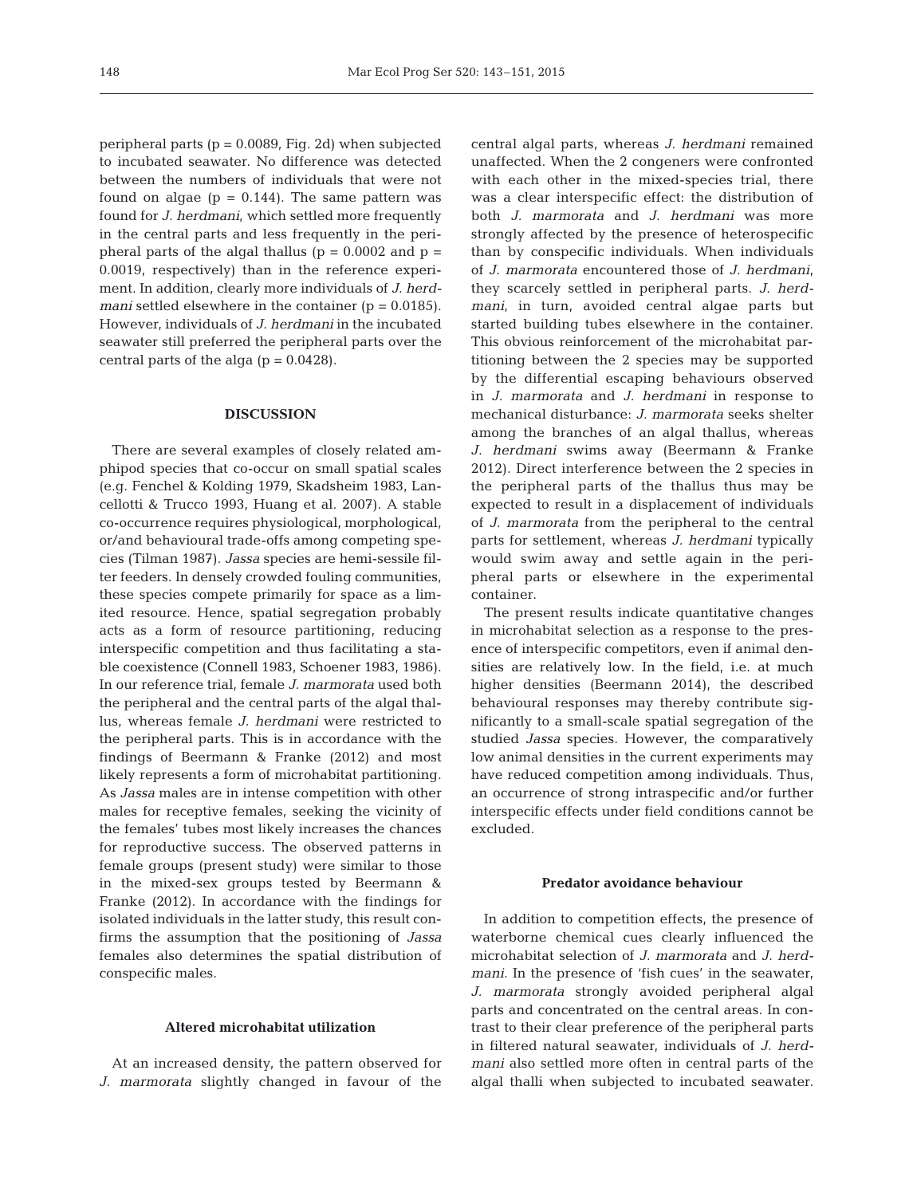peripheral parts ( $p = 0.0089$ , Fig. 2d) when subjected to incubated seawater. No difference was detected between the numbers of individuals that were not found on algae  $(p = 0.144)$ . The same pattern was found for *J. herdmani*, which settled more frequently in the central parts and less frequently in the peripheral parts of the algal thallus ( $p = 0.0002$  and  $p =$ 0.0019, respectively) than in the reference experiment. In addition, clearly more individuals of *J. herdmani* settled elsewhere in the container (p = 0.0185). However, individuals of *J. herdmani* in the incubated seawater still preferred the peripheral parts over the central parts of the alga  $(p = 0.0428)$ .

## **DISCUSSION**

There are several examples of closely related amphipod species that co-occur on small spatial scales (e.g. Fenchel & Kolding 1979, Skadsheim 1983, Lancellotti & Trucco 1993, Huang et al. 2007). A stable co-occurrence requires physiological, morphological, or/and behavioural trade-offs among competing species (Tilman 1987). *Jassa* species are hemi-sessile filter feeders. In densely crowded fouling communities, these species compete primarily for space as a limited resource. Hence, spatial segregation probably acts as a form of resource partitioning, reducing interspecific competition and thus facilitating a stable coexistence (Connell 1983, Schoener 1983, 1986). In our reference trial, female *J. marmorata* used both the peripheral and the central parts of the algal thallus, whereas female *J. herdmani* were restricted to the peripheral parts. This is in accordance with the findings of Beermann & Franke (2012) and most likely represents a form of microhabitat partitioning. As *Jassa* males are in intense competition with other males for receptive females, seeking the vicinity of the females' tubes most likely increases the chances for reproductive success. The observed patterns in female groups (present study) were similar to those in the mixed-sex groups tested by Beermann & Franke (2012). In accordance with the findings for isolated individuals in the latter study, this result confirms the assumption that the positioning of *Jassa* females also determines the spatial distribution of conspecific males.

## **Altered microhabitat utilization**

At an increased density, the pattern observed for *J. marmorata* slightly changed in favour of the

central algal parts, whereas *J. herdmani* remained un affected. When the 2 congeners were confronted with each other in the mixed-species trial, there was a clear interspecific effect: the distribution of both *J. marmorata* and *J. herdmani* was more strongly affected by the presence of heterospecific than by conspecific individuals. When individuals of *J. marmorata* encountered those of *J. herdmani*, they scarcely settled in peripheral parts. *J. herdmani*, in turn, avoided central algae parts but started building tubes elsewhere in the container. This obvious reinforcement of the microhabitat partitioning between the 2 species may be supported by the differential escaping behaviours observed in *J. marmorata* and *J. herdmani* in response to mechanical disturbance: *J. marmorata* seeks shelter among the branches of an algal thallus, whereas *J. herdmani* swims away (Beermann & Franke 2012). Direct interference between the 2 species in the peripheral parts of the thallus thus may be expected to result in a displacement of individuals of *J. marmorata* from the peripheral to the central parts for settlement, whereas *J. herdmani* typically would swim away and settle again in the peripheral parts or elsewhere in the experimental container.

The present results indicate quantitative changes in microhabitat selection as a response to the presence of interspecific competitors, even if animal densities are relatively low. In the field, i.e. at much higher densities (Beermann 2014), the described behavioural responses may thereby contribute significantly to a small-scale spatial segregation of the studied *Jassa* species. However, the comparatively low animal densities in the current experiments may have reduced competition among individuals. Thus, an occurrence of strong intraspecific and/or further interspecific effects under field conditions cannot be excluded.

#### **Predator avoidance behaviour**

In addition to competition effects, the presence of waterborne chemical cues clearly influenced the microhabitat selection of *J. marmorata* and *J. herdmani*. In the presence of 'fish cues' in the seawater, *J. marmorata* strongly avoided peripheral algal parts and concentrated on the central areas. In contrast to their clear preference of the peripheral parts in filtered natural seawater, individuals of *J. herdmani* also settled more often in central parts of the algal thalli when subjected to incubated seawater.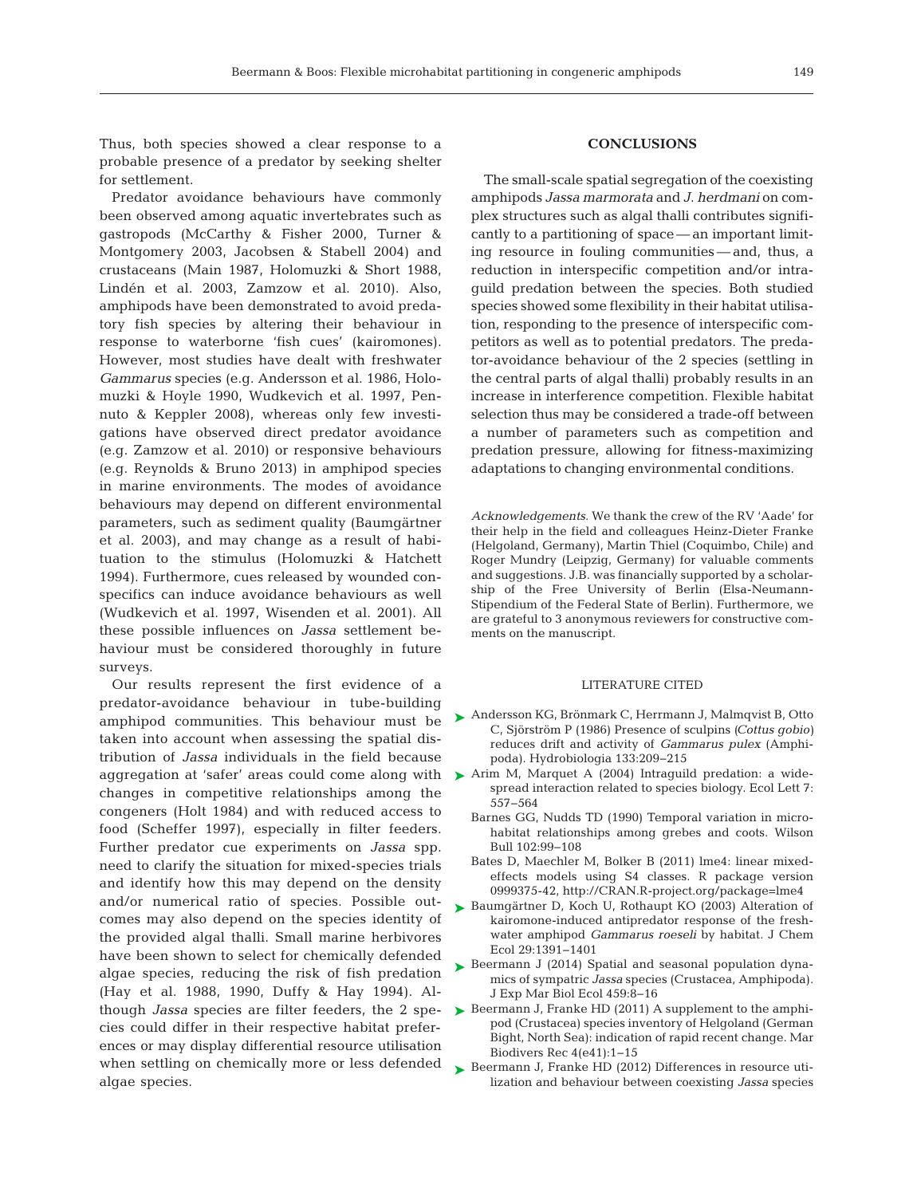Thus, both species showed a clear response to a probable presence of a predator by seeking shelter for settlement.

Predator avoidance behaviours have commonly been observed among aquatic invertebrates such as gastropods (McCarthy & Fisher 2000, Turner & Montgomery 2003, Jacobsen & Stabell 2004) and crusta ceans (Main 1987, Holomuzki & Short 1988, Lindén et al. 2003, Zamzow et al. 2010). Also, amphipods have been demonstrated to avoid predatory fish species by altering their behaviour in response to waterborne 'fish cues' (kairomones). However, most studies have dealt with freshwater Gammarus species (e.g. Andersson et al. 1986, Holomuzki & Hoyle 1990, Wudkevich et al. 1997, Pennuto & Keppler 2008), whereas only few investigations have observed direct predator avoidance (e.g. Zamzow et al. 2010) or responsive behaviours  $(e.g., Reynolds & Bruno 2013)$  in amphipod species in marine environments. The modes of avoidance behaviours may depend on different environmental parameters, such as sediment quality (Baumgärtner et al. 2003), and may change as a result of habituation to the stimulus (Holomuzki & Hatchett 1994). Furthermore, cues released by wounded conspecifics can induce avoidance behaviours as well (Wudkevich et al. 1997, Wisenden et al. 2001). All these possible influences on *Jassa* settlement be haviour must be considered thoroughly in future surveys.

Our results represent the first evidence of a predator-avoidance behaviour in tube-building amphipod communities. This behaviour must be taken into account when assessing the spatial distribution of *Jassa* individuals in the field because changes in competitive relationships among the congeners (Holt 1984) and with reduced access to food (Scheffer 1997), especially in filter feeders. Further predator cue experiments on *Jassa* spp. need to clarify the situation for mixed-species trials and identify how this may depend on the density and/or numerical ratio of species. Possible outcomes may also depend on the species identity of the provided algal thalli. Small marine herbivores have been shown to select for chemically defended algae species, reducing the risk of fish predation (Hay et al. 1988, 1990, Duffy & Hay 1994). Al though *Jassa* species are filter feeders, the 2 species could differ in their respective habitat preferences or may display differential resource utilisation when settling on chemically more or less defended algae species.

## **CONCLUSIONS**

The small-scale spatial segregation of the coexisting amphipods *Jassa marmorata* and *J. herdmani* on complex structures such as algal thalli contributes significantly to a partitioning of space — an important limiting resource in fouling communities — and, thus, a reduction in interspecific competition and/or intraguild predation between the species. Both studied species showed some flexibility in their habitat utilisation, responding to the presence of interspecific competitors as well as to potential predators. The predator-avoidance behaviour of the 2 species (settling in the central parts of algal thalli) probably results in an increase in interference competition. Flexible habitat selection thus may be considered a trade-off between a number of parameters such as competition and predation pressure, allowing for fitness-maximizing adaptations to changing environmental conditions.

*Acknowledgements*. We thank the crew of the RV 'Aade' for their help in the field and colleagues Heinz-Dieter Franke (Helgoland, Germany), Martin Thiel (Coquimbo, Chile) and Roger Mundry (Leipzig, Germany) for valuable comments and suggestions. J.B. was financially supported by a scholarship of the Free University of Berlin (Elsa-Neumann-Stipendium of the Federal State of Berlin). Furthermore, we are grateful to 3 anonymous reviewers for constructive comments on the manuscript.

### LITERATURE CITED

- [Andersson KG, Brönmark C, Herrmann J, Malmqvist B, Otto](http://dx.doi.org/10.1007/BF00005592) ➤ C, Sjörström P (1986) Presence of sculpins *(Cottus gobio)* reduces drift and activity of *Gammarus pulex* (Amphipoda). Hydrobiologia 133: 209−215
- aggregation at 'safer' areas could come along with  $\triangleright$  Arim M, Marquet A (2004) Intraguild predation: a widespread interaction related to species biology. Ecol Lett 7: 557−564
	- Barnes GG, Nudds TD (1990) Temporal variation in microhabitat relationships among grebes and coots. Wilson Bull 102:99-108
	- Bates D, Maechler M, Bolker B (2011) lme4: linear mixedeffects models using S4 classes. R package version 0999375-42, http://CRAN.R-project.org/package=lme4
	- ▶ [Baumgärtner D, Koch U, Rothaupt KO \(2003\) Alteration of](http://dx.doi.org/10.1023/A%3A1024213403537) kairomone-induced antipredator response of the freshwater amphipod *Gammarus roeseli* by habitat. J Chem Ecol 29: 1391−1401
	- ▶ Beermann J (2014) Spatial and seasonal population dynamics of sympatric *Jassa* species (Crustacea, Amphipoda). J Exp Mar Biol Ecol 459: 8−16
	- ▶ [Beermann J, Franke HD \(2011\) A supplement to the amphi](http://dx.doi.org/10.1017/S1755267211000388)pod (Crustacea) species inventory of Helgoland (German Bight, North Sea): indication of rapid recent change. Mar Biodivers Rec 4(e41): 1−15
	- ▶ [Beermann J, Franke HD \(2012\) Differences in resource uti](http://dx.doi.org/10.1007/s00227-011-1872-7)lization and behaviour between coexisting *Jassa* species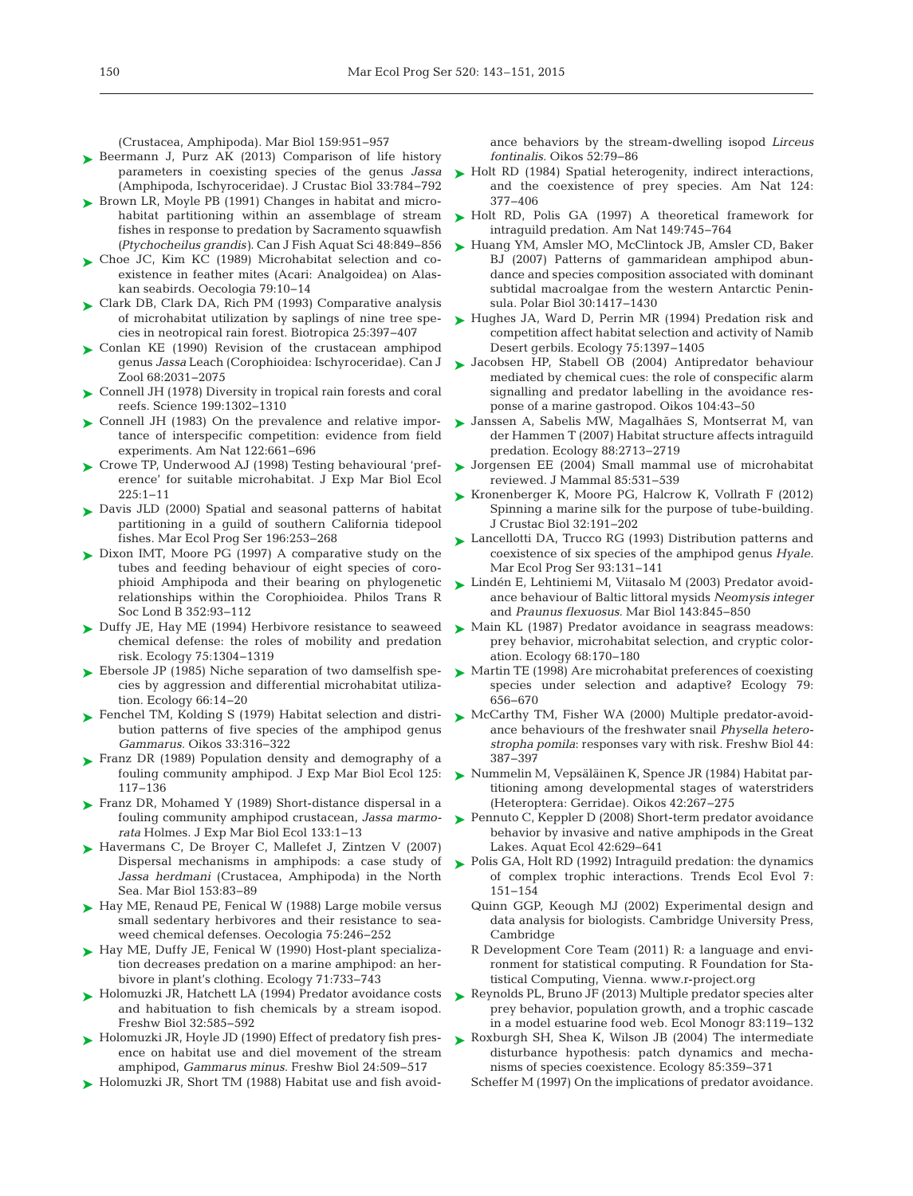(Crustacea, Amphipoda). Mar Biol 159: 951−957

- ► [Beermann J, Purz AK \(2013\) Comparison of life history](http://dx.doi.org/10.1163/1937240X-00002190) parameters in coexisting species of the genus *Jassa* (Amphipoda, Ischyroceridae). J Crustac Biol 33: 784−792
- ► [Brown LR, Moyle PB \(1991\) Changes in habitat and micro](http://dx.doi.org/10.1139/f91-101)habitat partitioning within an assemblage of stream fishes in response to predation by Sacramento squawfish *(Ptychocheilus grandis)*. Can J Fish Aquat Sci 48: 849−856
- ► Choe JC, Kim KC (1989) Microhabitat selection and coexistence in feather mites (Acari: Analgoidea) on Alaskan seabirds. Oecologia 79: 10−14
- ► [Clark DB, Clark DA, Rich PM \(1993\) Comparative analysis](http://dx.doi.org/10.2307/2388863) of microhabitat utilization by saplings of nine tree species in neotropical rain forest. Biotropica 25: 397−407
- ▶ [Conlan KE \(1990\) Revision of the crustacean amphipod](http://dx.doi.org/10.1139/z90-288) genus *Jassa* Leach (Corophioidea:Ischyroceridae). Can J Zool 68:2031-2075
- [Connell JH \(1978\) Diversity in tropical rain forests and coral](http://dx.doi.org/10.1126/science.199.4335.1302) ➤ reefs. Science 199: 1302−1310
- ▶ [Connell JH \(1983\) On the prevalence and relative impor](http://dx.doi.org/10.1086/284165)tance of interspecific competition: evidence from field experiments. Am Nat 122: 661−696
- ► [Crowe TP, Underwood AJ \(1998\) Testing behavioural 'pref](http://dx.doi.org/10.1016/S0022-0981(97)00187-1)erence' for suitable microhabitat. J Exp Mar Biol Ecol 225: 1−11
- ► [Davis JLD \(2000\) Spatial and seasonal patterns of habitat](http://dx.doi.org/10.3354/meps196253) partitioning in a guild of southern California tidepool fishes. Mar Ecol Prog Ser 196: 253−268
- ► [Dixon IMT, Moore PG \(1997\) A comparative study on the](http://dx.doi.org/10.1098/rstb.1997.0006) tubes and feeding behaviour of eight species of corophioid Amphipoda and their bearing on phylogenetic relationships within the Corophioidea. Philos Trans R Soc Lond B 352:93-112
- ► [Duffy JE, Hay ME \(1994\) Herbivore resistance to seaweed](http://dx.doi.org/10.2307/1937456) ► Main KL (1987) Predator avoidance in seagrass meadows: chemical defense: the roles of mobility and predation risk. Ecology 75: 1304−1319
- ► [Ebersole JP \(1985\) Niche separation of two damselfish spe](http://dx.doi.org/10.2307/1941302)cies by aggression and differential microhabitat utilization. Ecology 66: 14−20
- ► [Fenchel TM, Kolding S \(1979\) Habitat selection and distri](http://dx.doi.org/10.2307/3544008)bution patterns of five species of the amphipod genus *Gammarus.* Oikos 33: 316−322
- ► [Franz DR \(1989\) Population density and demography of a](http://dx.doi.org/10.1016/0022-0981(89)90038-5) fouling community amphipod. J Exp Mar Biol Ecol 125: 117−136
- ► [Franz DR, Mohamed Y \(1989\) Short-distance dispersal in a](http://dx.doi.org/10.1016/0022-0981(89)90154-8) fouling community amphipod crustacean, *Jassa marmo rata* Holmes. J Exp Mar Biol Ecol 133: 1−13
- ► [Havermans C, De Broyer C, Mallefet J, Zintzen V \(2007\)](http://dx.doi.org/10.1007/s00227-007-0788-8) Dispersal mechanisms in amphipods: a case study of *Jassa herdmani* (Crustacea, Amphipoda) in the North Sea. Mar Biol 153:83-89
- ► [Hay ME, Renaud PE, Fenical W \(1988\) Large mobile versus](http://dx.doi.org/10.1007/BF00378605) small sedentary herbivores and their resistance to seaweed chemical defenses. Oecologia 75:246-252
- ► [Hay ME, Duffy JE, Fenical W \(1990\) Host-plant specializa](http://dx.doi.org/10.2307/1940326)tion decreases predation on a marine amphipod: an herbivore in plant's clothing. Ecology 71: 733−743
- ► [Holomuzki JR, Hatchett LA \(1994\) Predator avoidance costs](http://dx.doi.org/10.1111/j.1365-2427.1994.tb01149.x) and habituation to fish chemicals by a stream isopod. Freshw Biol 32: 585−592
- ► [Holomuzki JR, Hoyle JD \(1990\) Effect of predatory fish pres](http://dx.doi.org/10.1111/j.1365-2427.1990.tb00728.x)ence on habitat use and diel movement of the stream amphipod, *Gammarus minus.* Freshw Biol 24: 509−517
- ► [Holomuzki JR, Short TM \(1988\) Habitat use and fish avoid-](http://dx.doi.org/10.2307/3565985)

ance behaviors by the stream-dwelling isopod *Lirceus fontinalis.* Oikos 52:79-86

- ► [Holt RD \(1984\) Spatial heterogenity, indirect interactions,](http://dx.doi.org/10.1086/284280) and the coexistence of prey species. Am Nat 124: 377−406
- ► [Holt RD, Polis GA \(1997\) A theoretical framework for](http://dx.doi.org/10.1086/286018) intraguild predation. Am Nat 149: 745−764
- ► [Huang YM, Amsler MO, McClintock JB, Amsler CD, Baker](http://dx.doi.org/10.1007/s00300-007-0303-1) BJ (2007) Patterns of gammaridean amphipod abundance and species composition associated with dominant subtidal macroalgae from the western Antarctic Peninsula. Polar Biol 30: 1417−1430
- ► [Hughes JA, Ward D, Perrin MR \(1994\) Predation risk and](http://dx.doi.org/10.2307/1937463) competition affect habitat selection and activity of Namib Desert gerbils. Ecology 75: 1397−1405
- ▶ [Jacobsen HP, Stabell OB \(2004\) Antipredator behaviour](http://dx.doi.org/10.1111/j.0030-1299.2004.12369.x) mediated by chemical cues: the role of conspecific alarm signalling and predator labelling in the avoidance response of a marine gastropod. Oikos 104:43–50
- ► [Janssen A, Sabelis MW, Magalhães S, Montserrat M, van](http://dx.doi.org/10.1890/06-1408.1) der Hammen T (2007) Habitat structure affects intraguild predation. Ecology 88:2713-2719
- [Jorgensen EE \(2004\) Small mammal use of microhabitat](http://dx.doi.org/10.1644/BER-019) ➤ reviewed. J Mammal 85:531-539
- ► [Kronenberger K, Moore PG, Halcrow K, Vollrath F \(2012\)](http://dx.doi.org/10.1163/193724011X615532) Spinning a marine silk for the purpose of tube-building. J Crustac Biol 32: 191−202
- ► [Lancellotti DA, Trucco RG \(1993\) Distribution patterns and](http://dx.doi.org/10.3354/meps093131) coexistence of six species of the amphipod genus *Hyale.* Mar Ecol Prog Ser 93: 131−141
- ► [Lindén E, Lehtiniemi M, Viitasalo M \(2003\) Predator avoid](http://dx.doi.org/10.1007/s00227-003-1149-x)ance behaviour of Baltic littoral mysids *Neomysis integer* and *Praunus flexuosus.* Mar Biol 143: 845−850
- prey behavior, microhabitat selection, and cryptic color ation. Ecology 68: 170−180
- ► [Martin TE \(1998\) Are microhabitat preferences of coexisting](http://dx.doi.org/10.1890/0012-9658(1998)079[0656%3AAMPOCS]2.0.CO%3B2) species under selection and adaptive? Ecology 79: 656−670
- ▶ [McCarthy TM, Fisher WA \(2000\) Multiple predator-avoid](http://dx.doi.org/10.1046/j.1365-2427.2000.00576.x)ance behaviours of the freshwater snail *Physella hetero*  stropha pomila: responses vary with risk. Freshw Biol 44: 387−397
- ► [Nummelin M, Vepsäläinen K, Spence JR \(1984\) Habitat par](http://dx.doi.org/10.2307/3544394)titioning among developmental stages of waterstriders (Heteroptera:Gerridae). Oikos 42: 267−275
- ► [Pennuto C, Keppler D \(2008\) Short-term predator avoidance](http://dx.doi.org/10.1007/s10452-007-9139-6) behavior by invasive and native amphipods in the Great Lakes. Aquat Ecol 42:629-641
- $\blacktriangleright$  Polis GA, Holt RD (1992) Intraguild predation: the dynamics of complex trophic interactions. Trends Ecol Evol 7: 151−154
	- Quinn GGP, Keough MJ (2002) Experimental design and data analysis for biologists. Cambridge University Press, Cambridge
	- R Development Core Team (2011) R: a language and environment for statistical computing. R Foundation for Statistical Computing, Vienna. www.r-project.org
- ► [Reynolds PL, Bruno JF \(2013\) Multiple predator species alter](http://dx.doi.org/10.1890/11-2284.1) prey behavior, population growth, and a trophic cascade in a model estuarine food web. Ecol Monogr 83: 119−132
- ▶ [Roxburgh SH, Shea K, Wilson JB \(2004\) The intermediate](http://dx.doi.org/10.1023/A%3A1009925025185) disturbance hypothesis: patch dynamics and mechanisms of species coexistence. Ecology 85:359-371
	- Scheffer M (1997) On the implications of predator avoidance.